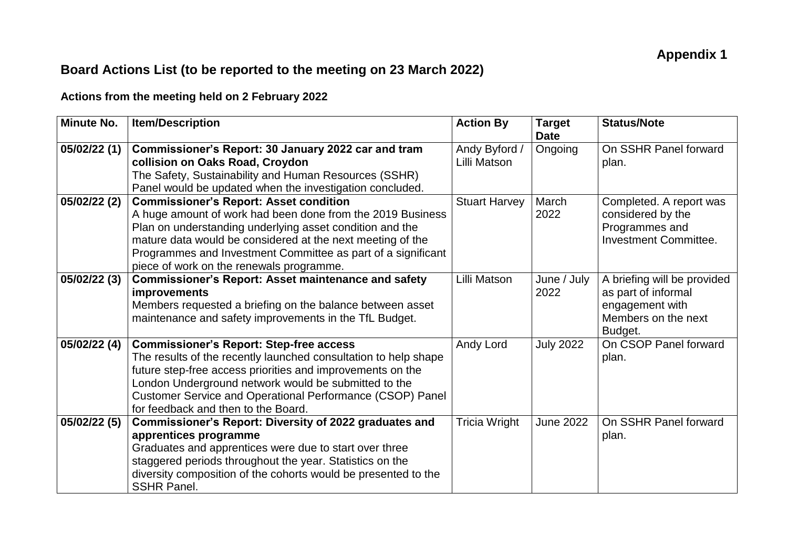## **Board Actions List (to be reported to the meeting on 23 March 2022)**

## **Actions from the meeting held on 2 February 2022**

| Minute No.   | <b>Item/Description</b>                                                                                                                                                                                                                                                                                                                           | <b>Action By</b>              | <b>Target</b><br><b>Date</b> | <b>Status/Note</b>                                                                                      |
|--------------|---------------------------------------------------------------------------------------------------------------------------------------------------------------------------------------------------------------------------------------------------------------------------------------------------------------------------------------------------|-------------------------------|------------------------------|---------------------------------------------------------------------------------------------------------|
| 05/02/22 (1) | Commissioner's Report: 30 January 2022 car and tram<br>collision on Oaks Road, Croydon<br>The Safety, Sustainability and Human Resources (SSHR)<br>Panel would be updated when the investigation concluded.                                                                                                                                       | Andy Byford /<br>Lilli Matson | Ongoing                      | On SSHR Panel forward<br>plan.                                                                          |
| 05/02/22 (2) | <b>Commissioner's Report: Asset condition</b><br>A huge amount of work had been done from the 2019 Business<br>Plan on understanding underlying asset condition and the<br>mature data would be considered at the next meeting of the<br>Programmes and Investment Committee as part of a significant<br>piece of work on the renewals programme. | <b>Stuart Harvey</b>          | March<br>2022                | Completed. A report was<br>considered by the<br>Programmes and<br><b>Investment Committee.</b>          |
| 05/02/22 (3) | <b>Commissioner's Report: Asset maintenance and safety</b><br><b>improvements</b><br>Members requested a briefing on the balance between asset<br>maintenance and safety improvements in the TfL Budget.                                                                                                                                          | Lilli Matson                  | June / July<br>2022          | A briefing will be provided<br>as part of informal<br>engagement with<br>Members on the next<br>Budget. |
| 05/02/22 (4) | <b>Commissioner's Report: Step-free access</b><br>The results of the recently launched consultation to help shape<br>future step-free access priorities and improvements on the<br>London Underground network would be submitted to the<br>Customer Service and Operational Performance (CSOP) Panel<br>for feedback and then to the Board.       | Andy Lord                     | <b>July 2022</b>             | On CSOP Panel forward<br>plan.                                                                          |
| 05/02/22 (5) | Commissioner's Report: Diversity of 2022 graduates and<br>apprentices programme<br>Graduates and apprentices were due to start over three<br>staggered periods throughout the year. Statistics on the<br>diversity composition of the cohorts would be presented to the<br><b>SSHR Panel.</b>                                                     | Tricia Wright                 | <b>June 2022</b>             | On SSHR Panel forward<br>plan.                                                                          |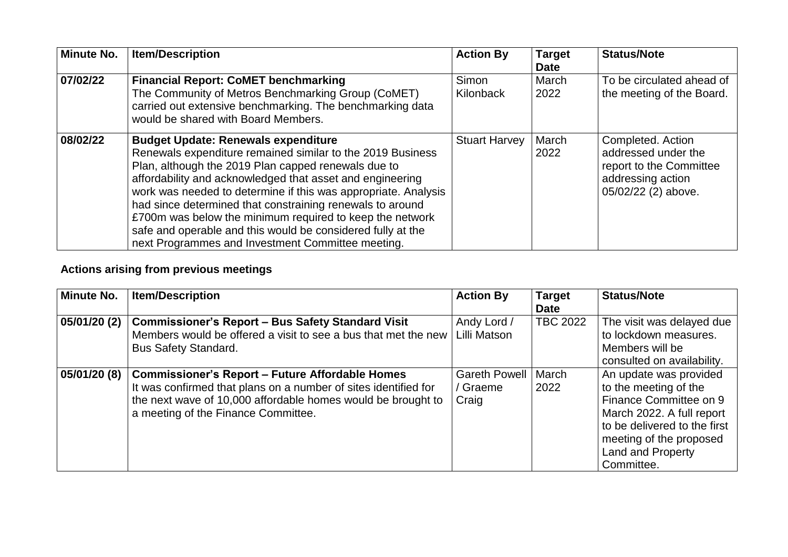| <b>Minute No.</b> | <b>Item/Description</b>                                                                                                                                                                                                                                                                                                                                                                                                                                                                                                                     | <b>Action By</b>     | <b>Target</b><br><b>Date</b> | <b>Status/Note</b>                                                                                              |
|-------------------|---------------------------------------------------------------------------------------------------------------------------------------------------------------------------------------------------------------------------------------------------------------------------------------------------------------------------------------------------------------------------------------------------------------------------------------------------------------------------------------------------------------------------------------------|----------------------|------------------------------|-----------------------------------------------------------------------------------------------------------------|
| 07/02/22          | <b>Financial Report: CoMET benchmarking</b><br>The Community of Metros Benchmarking Group (CoMET)<br>carried out extensive benchmarking. The benchmarking data<br>would be shared with Board Members.                                                                                                                                                                                                                                                                                                                                       | Simon<br>Kilonback   | March<br>2022                | To be circulated ahead of<br>the meeting of the Board.                                                          |
| 08/02/22          | <b>Budget Update: Renewals expenditure</b><br>Renewals expenditure remained similar to the 2019 Business<br>Plan, although the 2019 Plan capped renewals due to<br>affordability and acknowledged that asset and engineering<br>work was needed to determine if this was appropriate. Analysis<br>had since determined that constraining renewals to around<br>£700m was below the minimum required to keep the network<br>safe and operable and this would be considered fully at the<br>next Programmes and Investment Committee meeting. | <b>Stuart Harvey</b> | March<br>2022                | Completed. Action<br>addressed under the<br>report to the Committee<br>addressing action<br>05/02/22 (2) above. |

## **Actions arising from previous meetings**

| <b>Minute No.</b> | <b>Item/Description</b>                                                                                                                                                                                                          | <b>Action By</b>                        | <b>Target</b><br><b>Date</b> | <b>Status/Note</b>                                                                                                                                                                                   |
|-------------------|----------------------------------------------------------------------------------------------------------------------------------------------------------------------------------------------------------------------------------|-----------------------------------------|------------------------------|------------------------------------------------------------------------------------------------------------------------------------------------------------------------------------------------------|
| 05/01/20 (2)      | <b>Commissioner's Report - Bus Safety Standard Visit</b><br>Members would be offered a visit to see a bus that met the new<br><b>Bus Safety Standard.</b>                                                                        | Andy Lord /<br>Lilli Matson             | <b>TBC 2022</b>              | The visit was delayed due<br>to lockdown measures.<br>Members will be<br>consulted on availability.                                                                                                  |
| 05/01/20 (8)      | <b>Commissioner's Report - Future Affordable Homes</b><br>It was confirmed that plans on a number of sites identified for<br>the next wave of 10,000 affordable homes would be brought to<br>a meeting of the Finance Committee. | <b>Gareth Powell</b><br>Graeme<br>Craig | March<br>2022                | An update was provided<br>to the meeting of the<br>Finance Committee on 9<br>March 2022. A full report<br>to be delivered to the first<br>meeting of the proposed<br>Land and Property<br>Committee. |